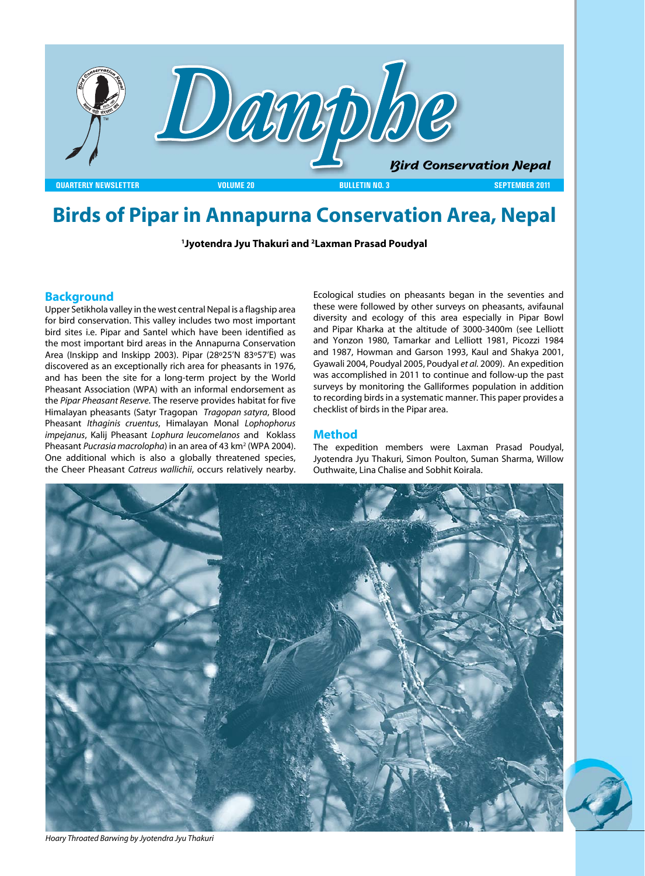

# **Birds of Pipar in Annapurna Conservation Area, Nepal**

**1 Jyotendra Jyu Thakuri and 2 Laxman Prasad Poudyal**

#### **Background**

Upper Setikhola valley in the west central Nepal is a flagship area for bird conservation. This valley includes two most important bird sites i.e. Pipar and Santel which have been identified as the most important bird areas in the Annapurna Conservation Area (Inskipp and Inskipp 2003). Pipar (28º25'N 83º57'E) was discovered as an exceptionally rich area for pheasants in 1976, and has been the site for a long-term project by the World Pheasant Association (WPA) with an informal endorsement as the *Pipar Pheasant Reserve*. The reserve provides habitat for five Himalayan pheasants (Satyr Tragopan *Tragopan satyra*, Blood Pheasant *Ithaginis cruentus*, Himalayan Monal *Lophophorus impejanus*, Kalij Pheasant *Lophura leucomelanos* and Koklass Pheasant *Pucrasia macrolopha*) in an area of 43 km<sup>2</sup> (WPA 2004). One additional which is also a globally threatened species, the Cheer Pheasant *Catreus wallichii*, occurs relatively nearby. Ecological studies on pheasants began in the seventies and these were followed by other surveys on pheasants, avifaunal diversity and ecology of this area especially in Pipar Bowl and Pipar Kharka at the altitude of 3000-3400m (see Lelliott and Yonzon 1980, Tamarkar and Lelliott 1981, Picozzi 1984 and 1987, Howman and Garson 1993, Kaul and Shakya 2001, Gyawali 2004, Poudyal 2005, Poudyal *et al.* 2009). An expedition was accomplished in 2011 to continue and follow-up the past surveys by monitoring the Galliformes population in addition to recording birds in a systematic manner. This paper provides a checklist of birds in the Pipar area.

#### **Method**

The expedition members were Laxman Prasad Poudyal, Jyotendra Jyu Thakuri, Simon Poulton, Suman Sharma, Willow Outhwaite, Lina Chalise and Sobhit Koirala.





*Hoary Throated Barwing by Jyotendra Jyu Thakuri*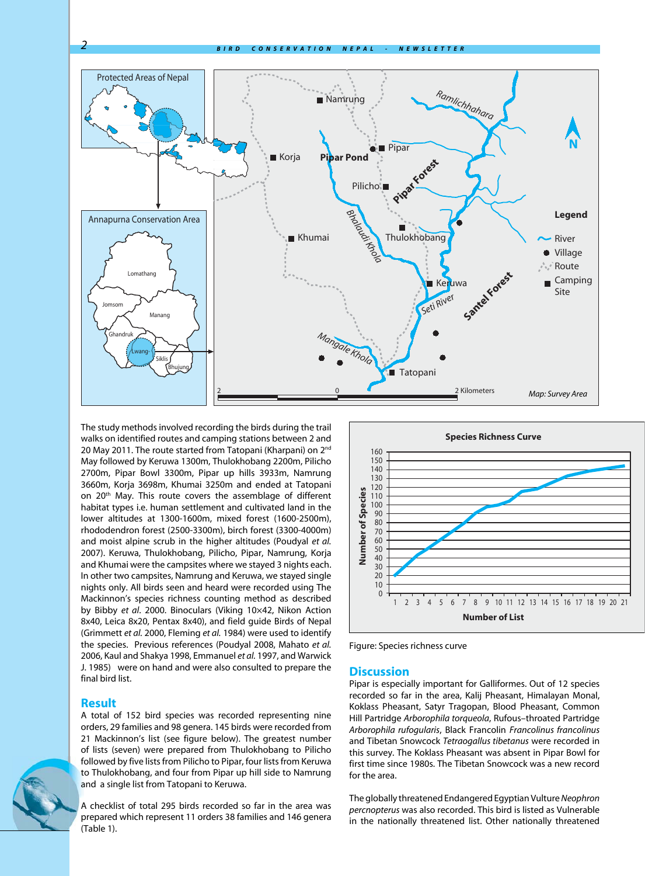

The study methods involved recording the birds during the trail walks on identified routes and camping stations between 2 and 20 May 2011. The route started from Tatopani (Kharpani) on 2<sup>nd</sup> May followed by Keruwa 1300m, Thulokhobang 2200m, Pilicho 2700m, Pipar Bowl 3300m, Pipar up hills 3933m, Namrung 3660m, Korja 3698m, Khumai 3250m and ended at Tatopani on 20<sup>th</sup> May. This route covers the assemblage of different habitat types i.e. human settlement and cultivated land in the lower altitudes at 1300-1600m, mixed forest (1600-2500m), rhododendron forest (2500-3300m), birch forest (3300-4000m) and moist alpine scrub in the higher altitudes (Poudyal *et al.* 2007). Keruwa, Thulokhobang, Pilicho, Pipar, Namrung, Korja and Khumai were the campsites where we stayed 3 nights each. In other two campsites, Namrung and Keruwa, we stayed single nights only. All birds seen and heard were recorded using The Mackinnon's species richness counting method as described by Bibby *et al*. 2000. Binoculars (Viking 10×42, Nikon Action 8x40, Leica 8x20, Pentax 8x40), and field guide Birds of Nepal (Grimmett *et al.* 2000, Fleming *et al.* 1984) were used to identify the species. Previous references (Poudyal 2008, Mahato *et al.* 2006, Kaul and Shakya 1998, Emmanuel *et al.* 1997, and Warwick J. 1985) were on hand and were also consulted to prepare the final bird list.

#### **Result**

A total of 152 bird species was recorded representing nine orders, 29 families and 98 genera. 145 birds were recorded from 21 Mackinnon's list (see figure below). The greatest number of lists (seven) were prepared from Thulokhobang to Pilicho followed by five lists from Pilicho to Pipar, four lists from Keruwa to Thulokhobang, and four from Pipar up hill side to Namrung and a single list from Tatopani to Keruwa.

A checklist of total 295 birds recorded so far in the area was prepared which represent 11 orders 38 families and 146 genera (Table 1).



Figure: Species richness curve

#### **Discussion**

Pipar is especially important for Galliformes. Out of 12 species recorded so far in the area, Kalij Pheasant, Himalayan Monal, Koklass Pheasant, Satyr Tragopan, Blood Pheasant, Common Hill Partridge *Arborophila torqueola*, Rufous–throated Partridge *Arborophila rufogularis*, Black Francolin *Francolinus francolinus* and Tibetan Snowcock *Tetraogallus tibetanus* were recorded in this survey. The Koklass Pheasant was absent in Pipar Bowl for first time since 1980s. The Tibetan Snowcock was a new record for the area.

The globally threatened Endangered Egyptian Vulture *Neophron percnopterus* was also recorded. This bird is listed as Vulnerable in the nationally threatened list. Other nationally threatened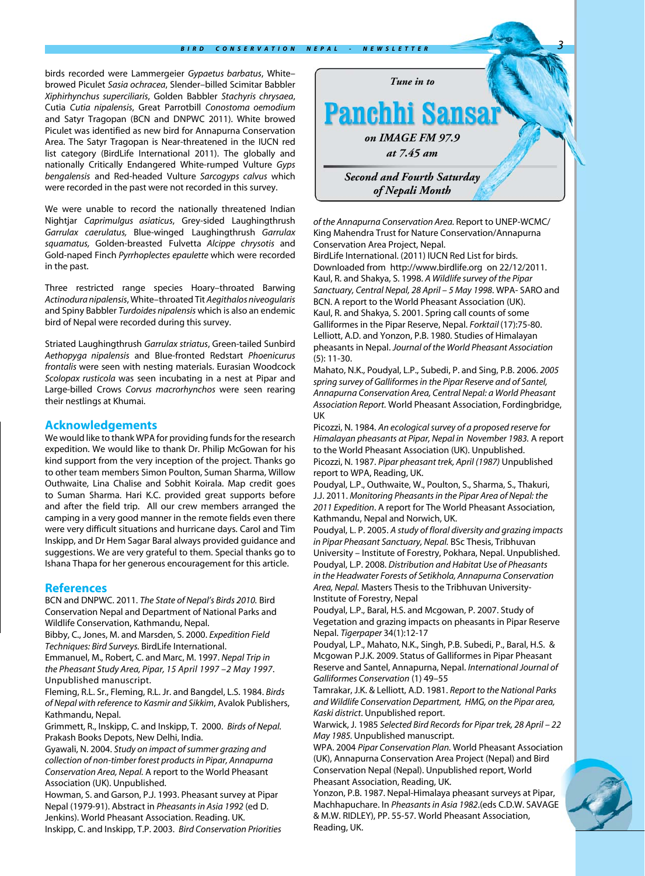birds recorded were Lammergeier *Gypaetus barbatus*, White– browed Piculet *Sasia ochracea*, Slender–billed Scimitar Babbler *Xiphirhynchus superciliaris*, Golden Babbler *Stachyris chrysaea*, Cutia *Cutia nipalensis*, Great Parrotbill *Conostoma oemodium* and Satyr Tragopan (BCN and DNPWC 2011). White browed Piculet was identified as new bird for Annapurna Conservation Area. The Satyr Tragopan is Near-threatened in the IUCN red list category (BirdLife International 2011). The globally and nationally Critically Endangered White-rumped Vulture *Gyps bengalensis* and Red-headed Vulture *Sarcogyps calvus* which were recorded in the past were not recorded in this survey.

We were unable to record the nationally threatened Indian Nightjar *Caprimulgus asiaticus*, Grey-sided Laughingthrush *Garrulax caerulatus,* Blue-winged Laughingthrush *Garrulax squamatus,* Golden-breasted Fulvetta *Alcippe chrysotis* and Gold-naped Finch *Pyrrhoplectes epaulette* which were recorded in the past.

Three restricted range species Hoary–throated Barwing *Actinodura nipalensis*, White–throated Tit *Aegithalos niveogularis* and Spiny Babbler *Turdoides nipalensis* which is also an endemic bird of Nepal were recorded during this survey.

Striated Laughingthrush *Garrulax striatus*, Green-tailed Sunbird *Aethopyga nipalensis* and Blue-fronted Redstart *Phoenicurus frontalis* were seen with nesting materials. Eurasian Woodcock *Scolopax rusticola* was seen incubating in a nest at Pipar and Large-billed Crows *Corvus macrorhynchos* were seen rearing their nestlings at Khumai.

#### **Acknowledgements**

We would like to thank WPA for providing funds for the research expedition. We would like to thank Dr. Philip McGowan for his kind support from the very inception of the project. Thanks go to other team members Simon Poulton, Suman Sharma, Willow Outhwaite, Lina Chalise and Sobhit Koirala. Map credit goes to Suman Sharma. Hari K.C. provided great supports before and after the field trip. All our crew members arranged the camping in a very good manner in the remote fields even there were very difficult situations and hurricane days. Carol and Tim Inskipp, and Dr Hem Sagar Baral always provided guidance and suggestions. We are very grateful to them. Special thanks go to Ishana Thapa for her generous encouragement for this article.

#### **References**

BCN and DNPWC. 2011. *The State of Nepal's Birds 2010.* Bird Conservation Nepal and Department of National Parks and Wildlife Conservation, Kathmandu, Nepal.

Bibby, C., Jones, M. and Marsden, S. 2000. *Expedition Field Techniques: Bird Surveys.* BirdLife International.

Emmanuel, M., Robert, C. and Marc, M. 1997. *Nepal Trip in the Pheasant Study Area, Pipar, 15 April 1997 –2 May 1997*. Unpublished manuscript.

Fleming, R.L. Sr., Fleming, R.L. Jr. and Bangdel, L.S. 1984. *Birds of Nepal with reference to Kasmir and Sikkim*, Avalok Publishers, Kathmandu, Nepal.

Grimmett, R., Inskipp, C. and Inskipp, T. 2000. *Birds of Nepal.* Prakash Books Depots, New Delhi, India.

Gyawali, N. 2004. *Study on impact of summer grazing and collection of non-timber forest products in Pipar, Annapurna Conservation Area, Nepal.* A report to the World Pheasant Association (UK). Unpublished.

Howman, S. and Garson, P.J. 1993. Pheasant survey at Pipar Nepal (1979-91). Abstract in *Pheasants in Asia 1992* (ed D. Jenkins). World Pheasant Association. Reading. UK. Inskipp, C. and Inskipp, T.P. 2003. *Bird Conservation Priorities* 



*of the Annapurna Conservation Area.* Report to UNEP-WCMC/ King Mahendra Trust for Nature Conservation/Annapurna Conservation Area Project, Nepal.

BirdLife International. (2011) IUCN Red List for birds. Downloaded from http://www.birdlife.org on 22/12/2011. Kaul, R. and Shakya, S. 1998. *A Wildlife survey of the Pipar Sanctuary, Central Nepal, 28 April – 5 May 1998*. WPA- SARO and BCN. A report to the World Pheasant Association (UK). Kaul, R. and Shakya, S. 2001. Spring call counts of some Galliformes in the Pipar Reserve, Nepal. *Forktail* (17):75-80. Lelliott, A.D. and Yonzon, P.B. 1980. Studies of Himalayan pheasants in Nepal. *Journal of the World Pheasant Association*  (5): 11-30.

Mahato, N.K., Poudyal, L.P., Subedi, P. and Sing, P.B. 2006. *2005 spring survey of Galliformes in the Pipar Reserve and of Santel, Annapurna Conservation Area, Central Nepal: a World Pheasant Association Report.* World Pheasant Association, Fordingbridge, UK

Picozzi, N. 1984. *An ecological survey of a proposed reserve for Himalayan pheasants at Pipar, Nepal in November 1983.* A report to the World Pheasant Association (UK). Unpublished. Picozzi, N. 1987. *Pipar pheasant trek, April (1987)* Unpublished report to WPA, Reading, UK.

Poudyal, L.P., Outhwaite, W., Poulton, S., Sharma, S., Thakuri, J.J. 2011. *Monitoring Pheasants in the Pipar Area of Nepal: the 2011 Expedition*. A report for The World Pheasant Association, Kathmandu, Nepal and Norwich, UK.

Poudyal, L. P. 2005. *A study of floral diversity and grazing impacts in Pipar Pheasant Sanctuary, Nepal.* BSc Thesis, Tribhuvan University – Institute of Forestry, Pokhara, Nepal. Unpublished. Poudyal, L.P. 2008. *Distribution and Habitat Use of Pheasants in the Headwater Forests of Setikhola, Annapurna Conservation Area, Nepal.* Masters Thesis to the Tribhuvan University-Institute of Forestry, Nepal

Poudyal, L.P., Baral, H.S. and Mcgowan, P. 2007. Study of Vegetation and grazing impacts on pheasants in Pipar Reserve Nepal. *Tigerpaper* 34(1):12-17

Poudyal, L.P., Mahato, N.K., Singh, P.B. Subedi, P., Baral, H.S. & Mcgowan P.J.K. 2009. Status of Galliformes in Pipar Pheasant Reserve and Santel, Annapurna, Nepal. *International Journal of Galliformes Conservation* (1) 49–55

Tamrakar, J.K. & Lelliott, A.D. 1981. *Report to the National Parks and Wildlife Conservation Department, HMG, on the Pipar area, Kaski district*. Unpublished report.

Warwick, J. 1985 *Selected Bird Records for Pipar trek, 28 April – 22 May 1985.* Unpublished manuscript.

WPA. 2004 *Pipar Conservation Plan.* World Pheasant Association (UK), Annapurna Conservation Area Project (Nepal) and Bird Conservation Nepal (Nepal). Unpublished report, World Pheasant Association, Reading, UK.

Yonzon, P.B. 1987. Nepal-Himalaya pheasant surveys at Pipar, Machhapuchare. In *Pheasants in Asia 1982*.(eds C.D.W. SAVAGE & M.W. RIDLEY), PP. 55-57. World Pheasant Association, Reading, UK.

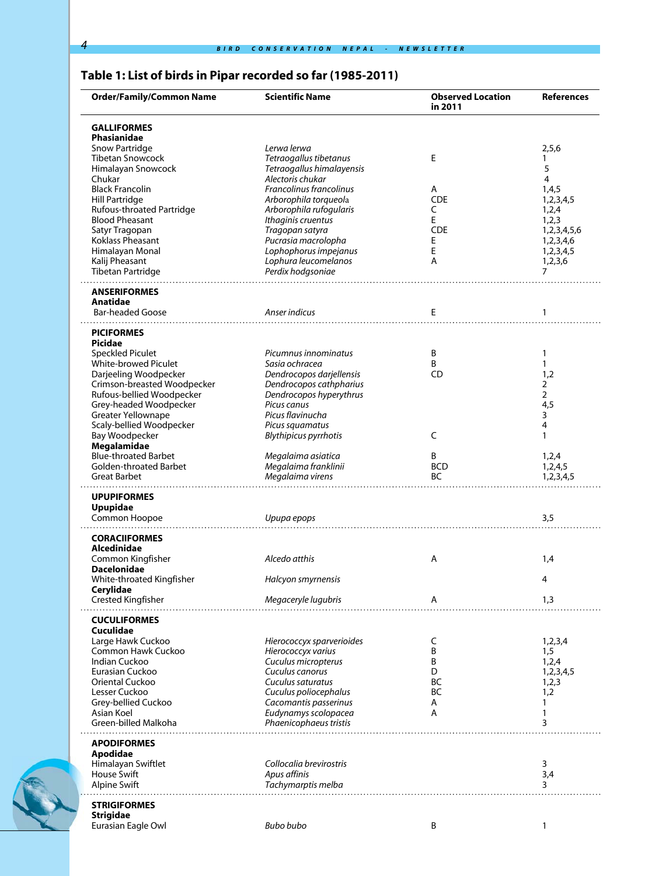# **Table 1: List of birds in Pipar recorded so far (1985-2011)**

| <b>Order/Family/Common Name</b>            | <b>Scientific Name</b>                    | <b>Observed Location</b><br>in 2011 | <b>References</b> |
|--------------------------------------------|-------------------------------------------|-------------------------------------|-------------------|
| <b>GALLIFORMES</b><br>Phasianidae          |                                           |                                     |                   |
| <b>Snow Partridge</b>                      | Lerwa lerwa                               |                                     | 2,5,6             |
| <b>Tibetan Snowcock</b>                    | Tetraogallus tibetanus                    | E                                   | 1                 |
| Himalayan Snowcock                         | Tetraogallus himalayensis                 |                                     | 5                 |
| Chukar                                     | Alectoris chukar                          |                                     | 4                 |
| <b>Black Francolin</b>                     | <b>Francolinus francolinus</b>            | A                                   | 1,4,5             |
| <b>Hill Partridge</b>                      | Arborophila torqueola                     | <b>CDE</b>                          | 1,2,3,4,5         |
| Rufous-throated Partridge                  | Arborophila rufogularis                   | C                                   |                   |
| <b>Blood Pheasant</b>                      |                                           | E                                   | 1,2,4             |
|                                            | Ithaginis cruentus                        | <b>CDE</b>                          | 1,2,3             |
| Satyr Tragopan<br>Koklass Pheasant         | Tragopan satyra<br>Pucrasia macrolopha    |                                     | 1,2,3,4,5,6       |
|                                            |                                           | Ε<br>Е                              | 1,2,3,4,6         |
| Himalayan Monal                            | Lophophorus impejanus                     | Α                                   | 1,2,3,4,5         |
| Kalij Pheasant<br><b>Tibetan Partridge</b> | Lophura leucomelanos<br>Perdix hodgsoniae |                                     | 1,2,3,6<br>7      |
| .<br><b>ANSERIFORMES</b>                   |                                           |                                     |                   |
| Anatidae                                   |                                           |                                     |                   |
| <b>Bar-headed Goose</b>                    | Anser indicus                             | Е                                   | 1                 |
| <b>PICIFORMES</b><br>Picidae               |                                           |                                     |                   |
| <b>Speckled Piculet</b>                    | Picumnus innominatus                      | Β                                   | 1                 |
| <b>White-browed Piculet</b>                | Sasia ochracea                            | B                                   | $\mathbf{1}$      |
| Darjeeling Woodpecker                      | Dendrocopos darjellensis                  | CD                                  | 1,2               |
| Crimson-breasted Woodpecker                | Dendrocopos cathpharius                   |                                     | 2                 |
| Rufous-bellied Woodpecker                  | Dendrocopos hyperythrus                   |                                     | $\overline{2}$    |
| Grey-headed Woodpecker                     | Picus canus                               |                                     | 4,5               |
| Greater Yellownape                         | Picus flavinucha                          |                                     | 3                 |
| Scaly-bellied Woodpecker                   | Picus squamatus                           |                                     | 4                 |
| <b>Bay Woodpecker</b>                      | <b>Blythipicus pyrrhotis</b>              | C                                   | 1                 |
| Megalamidae                                |                                           |                                     |                   |
| <b>Blue-throated Barbet</b>                | Megalaima asiatica                        | B                                   | 1,2,4             |
| Golden-throated Barbet                     | Megalaima franklinii                      | <b>BCD</b>                          | 1,2,4,5           |
| <b>Great Barbet</b>                        | Megalaima virens                          | BC                                  | 1,2,3,4,5         |
|                                            |                                           |                                     |                   |
| <b>UPUPIFORMES</b><br><b>Upupidae</b>      |                                           |                                     |                   |
| Common Hoopoe                              | Upupa epops                               |                                     | 3,5               |
|                                            |                                           |                                     |                   |
| <b>CORACIIFORMES</b><br>Alcedinidae        |                                           |                                     |                   |
| Common Kingfisher                          | Alcedo atthis                             | Α                                   | 1,4               |
| <b>Dacelonidae</b>                         |                                           |                                     |                   |
| White-throated Kingfisher                  | Halcyon smyrnensis                        |                                     | 4                 |
| Cerylidae                                  |                                           |                                     |                   |
| <b>Crested Kingfisher</b>                  | Megaceryle lugubris                       | Α                                   | 1,3               |
| <b>CUCULIFORMES</b>                        |                                           |                                     |                   |
| Cuculidae                                  |                                           |                                     |                   |
| Large Hawk Cuckoo                          | Hierococcyx sparverioides                 | C                                   | 1,2,3,4           |
| Common Hawk Cuckoo                         | Hierococcyx varius                        | B                                   | 1,5               |
| Indian Cuckoo                              | Cuculus micropterus                       | Β                                   | 1,2,4             |
| Eurasian Cuckoo                            | Cuculus canorus                           | D                                   | 1,2,3,4,5         |
| Oriental Cuckoo                            | Cuculus saturatus                         | ВC                                  | 1,2,3             |
| Lesser Cuckoo                              | Cuculus poliocephalus                     | BC                                  | 1,2               |
| Grey-bellied Cuckoo                        | Cacomantis passerinus                     | Α                                   | 1                 |
| Asian Koel                                 | Eudynamys scolopacea                      | Α                                   | 1                 |
| Green-billed Malkoha                       | Phaenicophaeus tristis                    |                                     | 3                 |
| <b>APODIFORMES</b>                         |                                           |                                     |                   |
| Apodidae                                   |                                           |                                     |                   |
| Himalayan Swiftlet                         | Collocalia brevirostris                   |                                     | 3                 |
| House Swift                                | Apus affinis                              |                                     | 3,4               |
| <b>Alpine Swift</b>                        | Tachymarptis melba                        |                                     | 3                 |
| <b>STRIGIFORMES</b>                        |                                           |                                     |                   |
| <b>Strigidae</b>                           |                                           |                                     |                   |
| Eurasian Eagle Owl                         | <b>Bubo bubo</b>                          | Β                                   | 1                 |

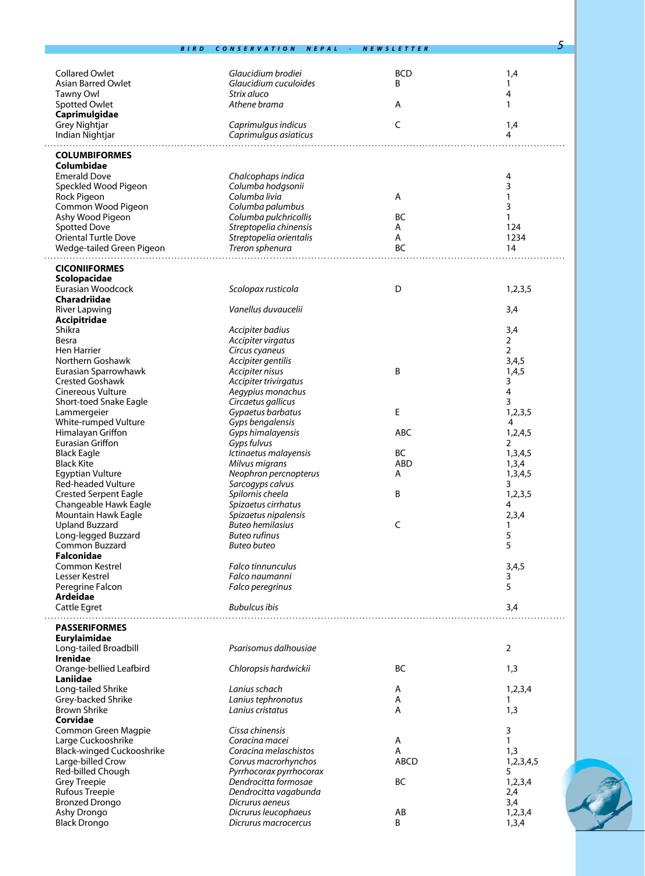|                                     | <b>BIRD</b> | <b>CONSERVATION</b><br><b>NEPAL</b>         | <b>NEWSLETTER</b> | 5                       |
|-------------------------------------|-------------|---------------------------------------------|-------------------|-------------------------|
|                                     |             |                                             |                   |                         |
|                                     |             |                                             |                   |                         |
| <b>Collared Owlet</b>               |             | Glaucidium brodiei<br>Glaucidium cuculoides | <b>BCD</b>        | 1,4                     |
| <b>Asian Barred Owlet</b>           |             |                                             | B                 | 1                       |
| <b>Tawny Owl</b>                    |             | Strix aluco                                 |                   | 4                       |
| Spotted Owlet                       |             | Athene brama                                | Α                 | 1                       |
| Caprimulgidae                       |             |                                             |                   |                         |
| Grey Nightjar                       |             | Caprimulgus indicus                         | C                 | 1,4                     |
| Indian Nightjar                     |             | Caprimulgus asiaticus                       |                   | 4                       |
| <b>COLUMBIFORMES</b>                |             |                                             |                   |                         |
| Columbidae                          |             |                                             |                   |                         |
| <b>Emerald Dove</b>                 |             | Chalcophaps indica                          |                   | 4                       |
| Speckled Wood Pigeon                |             | Columba hodgsonii                           |                   | 3                       |
| Rock Pigeon                         |             | Columba livia                               | Α                 | $\mathbf{1}$            |
| Common Wood Pigeon                  |             | Columba palumbus                            |                   | 3                       |
| Ashy Wood Pigeon                    |             | Columba pulchricollis                       | BC                | 1                       |
| <b>Spotted Dove</b>                 |             | Streptopelia chinensis                      | Α                 | 124                     |
| <b>Oriental Turtle Dove</b>         |             | Streptopelia orientalis                     | Α                 | 1234                    |
| Wedge-tailed Green Pigeon           |             | Treron sphenura                             | BC                | 14                      |
|                                     |             |                                             |                   |                         |
| <b>CICONIIFORMES</b>                |             |                                             |                   |                         |
| Scolopacidae                        |             |                                             |                   |                         |
| Eurasian Woodcock                   |             | Scolopax rusticola                          | D                 | 1,2,3,5                 |
| Charadriidae                        |             |                                             |                   |                         |
| <b>River Lapwing</b>                |             | Vanellus duvaucelii                         |                   | 3,4                     |
| Accipitridae                        |             |                                             |                   |                         |
| Shikra                              |             | Accipiter badius                            |                   | 3,4                     |
| Besra                               |             | Accipiter virgatus                          |                   | $\overline{2}$          |
| <b>Hen Harrier</b>                  |             | Circus cyaneus                              |                   | 2                       |
| Northern Goshawk                    |             | Accipiter gentilis                          |                   | 3,4,5                   |
| Eurasian Sparrowhawk                |             | Accipiter nisus                             | B                 | 1,4,5                   |
| <b>Crested Goshawk</b>              |             | Accipiter trivirgatus                       |                   | 3                       |
| <b>Cinereous Vulture</b>            |             | Aegypius monachus                           |                   | 4                       |
| Short-toed Snake Eagle              |             | Circaetus gallicus                          |                   | 3                       |
| Lammergeier                         |             | Gypaetus barbatus                           | Е                 | 1,2,3,5                 |
| White-rumped Vulture                |             | Gyps bengalensis                            |                   | 4                       |
| Himalayan Griffon                   |             | Gyps himalayensis                           | ABC               | 1,2,4,5                 |
| <b>Eurasian Griffon</b>             |             | Gyps fulvus                                 |                   | 2                       |
| <b>Black Eagle</b>                  |             | Ictinaetus malayensis                       | BC                | 1,3,4,5                 |
| <b>Black Kite</b>                   |             | Milvus migrans                              | <b>ABD</b>        | 1,3,4                   |
| <b>Egyptian Vulture</b>             |             | Neophron percnopterus                       | Α                 | 1,3,4,5                 |
| <b>Red-headed Vulture</b>           |             | Sarcogyps calvus                            |                   | $\overline{\mathbf{3}}$ |
| <b>Crested Serpent Eagle</b>        |             | Spilornis cheela                            | В                 | 1,2,3,5                 |
| Changeable Hawk Eagle               |             | Spizaetus cirrhatus                         |                   | 4                       |
| Mountain Hawk Eagle                 |             | Spizaetus nipalensis                        |                   | 2,3,4                   |
| <b>Upland Buzzard</b>               |             | <b>Buteo hemilasius</b>                     | C                 | 1                       |
| Long-legged Buzzard                 |             | <b>Buteo rufinus</b>                        |                   | 5                       |
| Common Buzzard                      |             | <b>Buteo buteo</b>                          |                   | 5                       |
| <b>Falconidae</b><br>Common Kestrel |             | Falco tinnunculus                           |                   |                         |
| Lesser Kestrel                      |             | Falco naumanni                              |                   | 3,4,5<br>3              |
| Peregrine Falcon                    |             | Falco peregrinus                            |                   | 5                       |
| Ardeidae                            |             |                                             |                   |                         |
| Cattle Egret                        |             | <b>Bubulcus ibis</b>                        |                   | 3,4                     |
|                                     |             |                                             |                   |                         |
| <b>PASSERIFORMES</b>                |             |                                             |                   |                         |
| Eurylaimidae                        |             |                                             |                   |                         |
| Long-tailed Broadbill               |             | Psarisomus dalhousiae                       |                   | $\overline{2}$          |
| <b>Irenidae</b>                     |             |                                             |                   |                         |
| Orange-bellied Leafbird             |             | Chloropsis hardwickii                       | BC                | 1,3                     |
| Laniidae                            |             |                                             |                   |                         |
| Long-tailed Shrike                  |             | Lanius schach                               | A                 | 1,2,3,4                 |
| Grey-backed Shrike                  |             | Lanius tephronotus                          | Α                 | 1                       |
| <b>Brown Shrike</b>                 |             | Lanius cristatus                            | Α                 | 1,3                     |
| Corvidae                            |             |                                             |                   |                         |
| Common Green Magpie                 |             | Cissa chinensis                             |                   | 3                       |
| Large Cuckooshrike                  |             | Coracina macei                              | Α                 | 1                       |
| Black-winged Cuckooshrike           |             | Coracina melaschistos                       | A                 | 1,3                     |
| Large-billed Crow                   |             | Corvus macrorhynchos                        | <b>ABCD</b>       | 1,2,3,4,5               |
| Red-billed Chough                   |             | Pyrrhocorax pyrrhocorax                     |                   | 5                       |
| <b>Grey Treepie</b>                 |             | Dendrocitta formosae                        | BC                | 1,2,3,4                 |
| <b>Rufous Treepie</b>               |             | Dendrocitta vagabunda                       |                   | 2,4                     |
| <b>Bronzed Drongo</b>               |             | Dicrurus aeneus                             |                   | 3,4                     |
| Ashy Drongo                         |             | Dicrurus leucophaeus                        | AB                | 1,2,3,4                 |
| <b>Black Drongo</b>                 |             | Dicrurus macrocercus                        | B                 | 1,3,4                   |

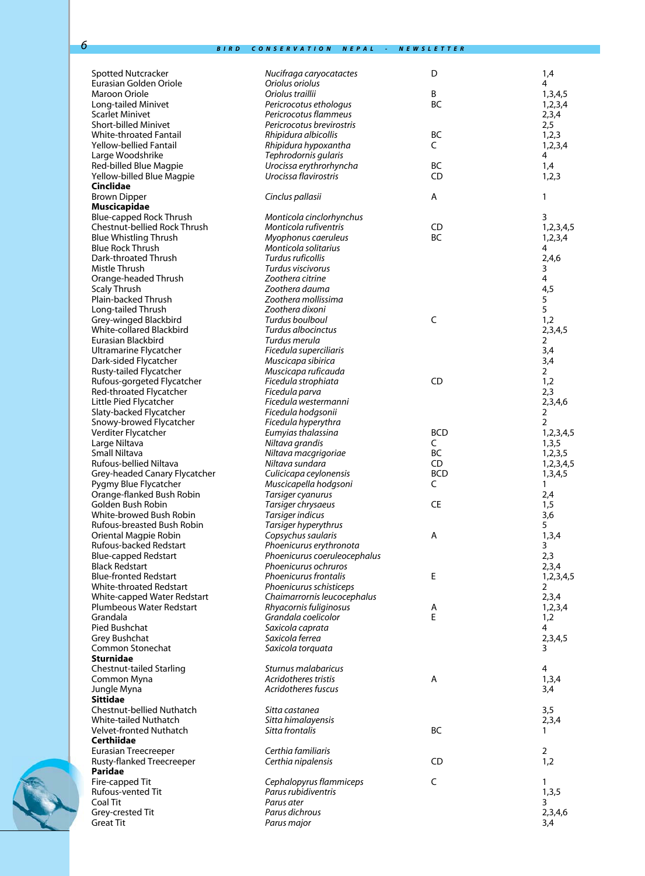| <b>Spotted Nutcracker</b>                           | Nucifraga caryocatactes                         | D               | 1,4                  |
|-----------------------------------------------------|-------------------------------------------------|-----------------|----------------------|
| Eurasian Golden Oriole                              | Oriolus oriolus                                 |                 | 4                    |
| Maroon Oriole                                       | Oriolus traillii                                | B               | 1,3,4,5              |
| Long-tailed Minivet                                 | Pericrocotus ethologus                          | <b>BC</b>       | 1,2,3,4              |
| Scarlet Minivet                                     | Pericrocotus flammeus                           |                 | 2,3,4                |
| <b>Short-billed Minivet</b>                         | Pericrocotus brevirostris                       |                 | 2,5                  |
| White-throated Fantail                              | Rhipidura albicollis                            | BC              | 1,2,3                |
| Yellow-bellied Fantail                              | Rhipidura hypoxantha                            | C               | 1,2,3,4              |
| Large Woodshrike                                    | Tephrodornis gularis<br>Urocissa erythrorhyncha | ВC              | 4<br>1,4             |
| Red-billed Blue Magpie<br>Yellow-billed Blue Magpie | Urocissa flavirostris                           | CD              | 1,2,3                |
| Cinclidae                                           |                                                 |                 |                      |
| <b>Brown Dipper</b>                                 | Cinclus pallasii                                | Α               | 1                    |
| <b>Muscicapidae</b>                                 |                                                 |                 |                      |
| <b>Blue-capped Rock Thrush</b>                      | Monticola cinclorhynchus                        |                 | 3                    |
| Chestnut-bellied Rock Thrush                        | Monticola rufiventris                           | CD              | 1,2,3,4,5            |
| <b>Blue Whistling Thrush</b>                        | Myophonus caeruleus                             | BC              | 1,2,3,4              |
| <b>Blue Rock Thrush</b>                             | Monticola solitarius                            |                 | 4                    |
| Dark-throated Thrush                                | Turdus ruficollis                               |                 | 2,4,6                |
| Mistle Thrush                                       | Turdus viscivorus                               |                 | 3                    |
| Orange-headed Thrush                                | Zoothera citrine                                |                 | 4                    |
| <b>Scaly Thrush</b>                                 | Zoothera dauma                                  |                 | 4,5                  |
| Plain-backed Thrush                                 | Zoothera mollissima                             |                 | 5                    |
| Long-tailed Thrush                                  | Zoothera dixoni                                 |                 | 5                    |
| Grey-winged Blackbird                               | Turdus boulboul                                 | $\mathsf C$     | 1,2                  |
| <b>White-collared Blackbird</b>                     | Turdus albocinctus                              |                 | 2,3,4,5              |
| Eurasian Blackbird                                  | Turdus merula                                   |                 | 2                    |
| Ultramarine Flycatcher                              | Ficedula superciliaris                          |                 | 3,4                  |
| Dark-sided Flycatcher                               | Muscicapa sibirica                              |                 | 3,4                  |
| Rusty-tailed Flycatcher                             | Muscicapa ruficauda                             |                 | $\overline{2}$       |
| Rufous-gorgeted Flycatcher                          | Ficedula strophiata                             | CD              | 1,2                  |
| Red-throated Flycatcher                             | Ficedula parva                                  |                 | 2,3                  |
| Little Pied Flycatcher                              | Ficedula westermanni                            |                 | 2,3,4,6              |
| Slaty-backed Flycatcher                             | Ficedula hodgsonii                              |                 | 2                    |
| Snowy-browed Flycatcher                             | Ficedula hyperythra                             |                 | $\overline{2}$       |
| Verditer Flycatcher                                 | Eumyias thalassina                              | <b>BCD</b><br>C | 1,2,3,4,5            |
| Large Niltava<br>Small Niltava                      | Niltava grandis                                 | BC              | 1,3,5                |
| Rufous-bellied Niltava                              | Niltava macgrigoriae<br>Niltava sundara         | CD              | 1,2,3,5              |
| Grey-headed Canary Flycatcher                       | Culicicapa ceylonensis                          | <b>BCD</b>      | 1,2,3,4,5<br>1,3,4,5 |
| Pygmy Blue Flycatcher                               | Muscicapella hodgsoni                           | C               | 1                    |
| Orange-flanked Bush Robin                           | Tarsiger cyanurus                               |                 | 2,4                  |
| Golden Bush Robin                                   | Tarsiger chrysaeus                              | CE              | 1,5                  |
| White-browed Bush Robin                             | Tarsiger indicus                                |                 | 3,6                  |
| Rufous-breasted Bush Robin                          | Tarsiger hyperythrus                            |                 | 5                    |
| Oriental Magpie Robin                               | Copsychus saularis                              | Α               | 1,3,4                |
| Rufous-backed Redstart                              | Phoenicurus erythronota                         |                 | 3                    |
| <b>Blue-capped Redstart</b>                         | Phoenicurus coeruleocephalus                    |                 | 2,3                  |
| <b>Black Redstart</b>                               | Phoenicurus ochruros                            |                 | 2,3,4                |
| <b>Blue-fronted Redstart</b>                        | Phoenicurus frontalis                           | E               | 1,2,3,4,5            |
| <b>White-throated Redstart</b>                      | Phoenicurus schisticeps                         |                 | 2                    |
| White-capped Water Redstart                         | Chaimarrornis leucocephalus                     |                 | 2,3,4                |
| Plumbeous Water Redstart                            | Rhyacornis fuliginosus                          | Α               | 1,2,3,4              |
| Grandala                                            | Grandala coelicolor                             | E               | 1,2                  |
| Pied Bushchat                                       | Saxicola caprata                                |                 | 4                    |
| Grey Bushchat                                       | Saxicola ferrea                                 |                 | 2,3,4,5              |
| Common Stonechat                                    | Saxicola torquata                               |                 | 3                    |
| Sturnidae                                           |                                                 |                 |                      |
| Chestnut-tailed Starling                            | Sturnus malabaricus                             |                 | 4                    |
| Common Myna                                         | Acridotheres tristis                            | Α               | 1,3,4                |
| Jungle Myna<br><b>Sittidae</b>                      | Acridotheres fuscus                             |                 | 3,4                  |
|                                                     |                                                 |                 |                      |
| Chestnut-bellied Nuthatch<br>White-tailed Nuthatch  | Sitta castanea                                  |                 | 3,5                  |
| Velvet-fronted Nuthatch                             | Sitta himalayensis<br>Sitta frontalis           | BC              | 2,3,4<br>1           |
| Certhiidae                                          |                                                 |                 |                      |
| <b>Eurasian Treecreeper</b>                         | Certhia familiaris                              |                 | $\overline{2}$       |
| Rusty-flanked Treecreeper                           | Certhia nipalensis                              | CD              | 1,2                  |
| Paridae                                             |                                                 |                 |                      |
| Fire-capped Tit                                     | Cephalopyrus flammiceps                         | C               | 1                    |
| Rufous-vented Tit                                   | Parus rubidiventris                             |                 | 1,3,5                |
| Coal Tit                                            | Parus ater                                      |                 | 3                    |
| Grey-crested Tit                                    | Parus dichrous                                  |                 | 2,3,4,6              |
| <b>Great Tit</b>                                    | Parus major                                     |                 | 3,4                  |

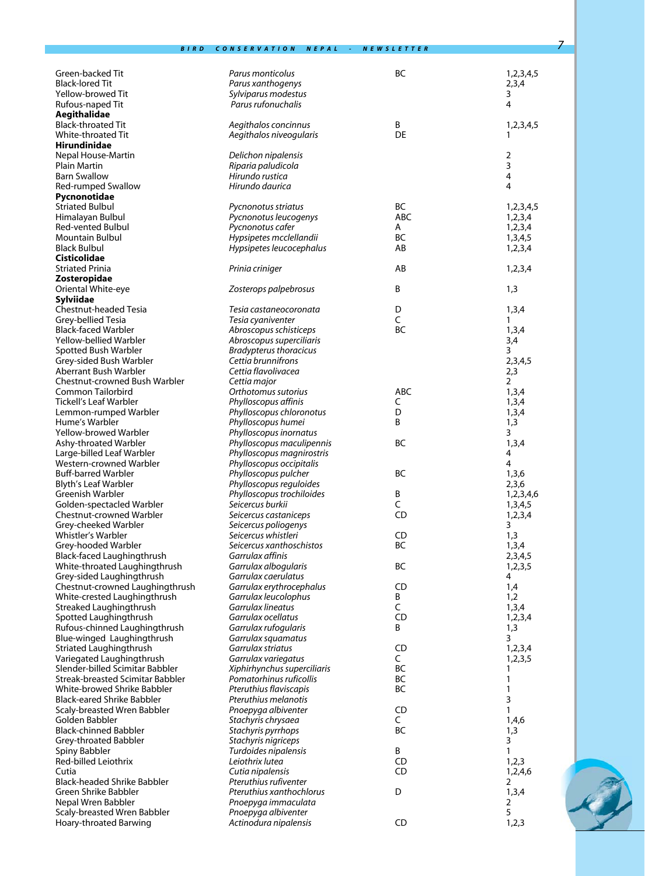| Green-backed Tit                                             | Parus monticolus                                | BC           | 1,2,3,4,5               |
|--------------------------------------------------------------|-------------------------------------------------|--------------|-------------------------|
| <b>Black-lored Tit</b>                                       | Parus xanthogenys                               |              | 2,3,4                   |
| Yellow-browed Tit                                            | Sylviparus modestus                             |              | 3                       |
| Rufous-naped Tit                                             | Parus rufonuchalis                              |              | 4                       |
| Aegithalidae<br><b>Black-throated Tit</b>                    | Aegithalos concinnus                            | B            | 1,2,3,4,5               |
| White-throated Tit                                           | Aegithalos niveogularis                         | DE           | 1                       |
| Hirundinidae                                                 |                                                 |              |                         |
| Nepal House-Martin                                           | Delichon nipalensis                             |              | $\overline{2}$          |
| Plain Martin                                                 | Riparia paludicola                              |              | $\overline{\mathbf{3}}$ |
| <b>Barn Swallow</b>                                          | Hirundo rustica                                 |              | $\overline{4}$          |
| Red-rumped Swallow                                           | Hirundo daurica                                 |              | 4                       |
| Pycnonotidae                                                 |                                                 |              |                         |
| <b>Striated Bulbul</b>                                       | Pycnonotus striatus                             | BC           | 1,2,3,4,5               |
| Himalayan Bulbul                                             | Pycnonotus leucogenys                           | ABC          | 1,2,3,4                 |
| Red-vented Bulbul                                            | Pycnonotus cafer                                | A            | 1,2,3,4                 |
| Mountain Bulbul<br><b>Black Bulbul</b>                       | Hypsipetes mcclellandii                         | BC<br>AB     | 1,3,4,5                 |
| Cisticolidae                                                 | Hypsipetes leucocephalus                        |              | 1,2,3,4                 |
| Striated Prinia                                              | Prinia criniger                                 | AB           | 1,2,3,4                 |
| Zosteropidae                                                 |                                                 |              |                         |
| Oriental White-eye                                           | Zosterops palpebrosus                           | B            | 1,3                     |
| Sylviidae                                                    |                                                 |              |                         |
| Chestnut-headed Tesia                                        | Tesia castaneocoronata                          | D            | 1,3,4                   |
| Grey-bellied Tesia                                           | Tesia cyaniventer                               | C            | 1                       |
| Black-faced Warbler                                          | Abroscopus schisticeps                          | BC           | 1,3,4                   |
| Yellow-bellied Warbler                                       | Abroscopus superciliaris                        |              | 3,4                     |
| Spotted Bush Warbler                                         | <b>Bradypterus thoracicus</b>                   |              | 3                       |
| Grey-sided Bush Warbler                                      | Cettia brunnifrons                              |              | 2,3,4,5                 |
| Aberrant Bush Warbler                                        | Cettia flavolivacea                             |              | 2,3                     |
| Chestnut-crowned Bush Warbler                                | Cettia major                                    |              | $\overline{2}$          |
| Common Tailorbird                                            | Orthotomus sutorius                             | ABC          | 1,3,4                   |
| Tickell's Leaf Warbler                                       | Phylloscopus affinis                            | C<br>D       | 1,3,4                   |
| Lemmon-rumped Warbler<br>Hume's Warbler                      | Phylloscopus chloronotus<br>Phylloscopus humei  | B            | 1,3,4<br>1,3            |
| Yellow-browed Warbler                                        | Phylloscopus inornatus                          |              | 3                       |
| Ashy-throated Warbler                                        | Phylloscopus maculipennis                       | <b>BC</b>    | 1,3,4                   |
| Large-billed Leaf Warbler                                    | Phylloscopus magnirostris                       |              | 4                       |
| Western-crowned Warbler                                      | Phylloscopus occipitalis                        |              | 4                       |
| Buff-barred Warbler                                          | Phylloscopus pulcher                            | BC           | 1,3,6                   |
| Blyth's Leaf Warbler                                         | Phylloscopus reguloides                         |              | 2,3,6                   |
| Greenish Warbler                                             | Phylloscopus trochiloides                       | Β            | 1,2,3,4,6               |
| Golden-spectacled Warbler                                    | Seicercus burkii                                | C            | 1,3,4,5                 |
| Chestnut-crowned Warbler                                     | Seicercus castaniceps                           | CD           | 1,2,3,4                 |
| Grey-cheeked Warbler                                         | Seicercus poliogenys                            |              | 3                       |
| Whistler's Warbler                                           | Seicercus whistleri                             | <b>CD</b>    | 1,3                     |
| Grey-hooded Warbler                                          | Seicercus xanthoschistos                        | BC           | 1,3,4                   |
| <b>Black-faced Laughingthrush</b>                            | Garrulax affinis                                |              | 2,3,4,5                 |
| White-throated Laughingthrush                                | Garrulax albogularis                            | <b>BC</b>    | 1,2,3,5                 |
| Grey-sided Laughingthrush<br>Chestnut-crowned Laughingthrush | Garrulax caerulatus<br>Garrulax erythrocephalus | CD           | 4<br>1,4                |
| White-crested Laughingthrush                                 | Garrulax leucolophus                            | Β            | 1,2                     |
| Streaked Laughingthrush                                      | Garrulax lineatus                               | $\mathsf{C}$ | 1,3,4                   |
| Spotted Laughingthrush                                       | Garrulax ocellatus                              | CD           | 1,2,3,4                 |
| Rufous-chinned Laughingthrush                                | Garrulax rufogularis                            | B            | 1,3                     |
| Blue-winged Laughingthrush                                   | Garrulax squamatus                              |              | 3                       |
| Striated Laughingthrush                                      | Garrulax striatus                               | CD           | 1,2,3,4                 |
| Variegated Laughingthrush                                    | Garrulax variegatus                             | C            | 1,2,3,5                 |
| Slender-billed Scimitar Babbler                              | Xiphirhynchus superciliaris                     | BC           | 1                       |
| Streak-breasted Scimitar Babbler                             | Pomatorhinus ruficollis                         | BC           | 1                       |
| White-browed Shrike Babbler                                  | Pteruthius flaviscapis                          | <b>BC</b>    | 1                       |
| Black-eared Shrike Babbler                                   | Pteruthius melanotis                            |              | 3                       |
| Scaly-breasted Wren Babbler                                  | Pnoepyga albiventer                             | CD           | 1                       |
| Golden Babbler                                               | Stachyris chrysaea                              | C            | 1,4,6                   |
| Black-chinned Babbler                                        | Stachyris pyrrhops                              | BC           | 1,3                     |
| Grey-throated Babbler                                        | Stachyris nigriceps                             |              | 3<br>$\mathbf{1}$       |
| Spiny Babbler<br>Red-billed Leiothrix                        | Turdoides nipalensis<br>Leiothrix lutea         | B<br>CD      |                         |
| Cutia                                                        | Cutia nipalensis                                | CD           | 1,2,3<br>1,2,4,6        |
| <b>Black-headed Shrike Babbler</b>                           | Pteruthius rufiventer                           |              | 2                       |
| Green Shrike Babbler                                         | Pteruthius xanthochlorus                        | D            | 1,3,4                   |
| Nepal Wren Babbler                                           | Pnoepyga immaculata                             |              | 2                       |
| Scaly-breasted Wren Babbler                                  | Pnoepyga albiventer                             |              | 5                       |
| Hoary-throated Barwing                                       | Actinodura nipalensis                           | CD           | 1,2,3                   |

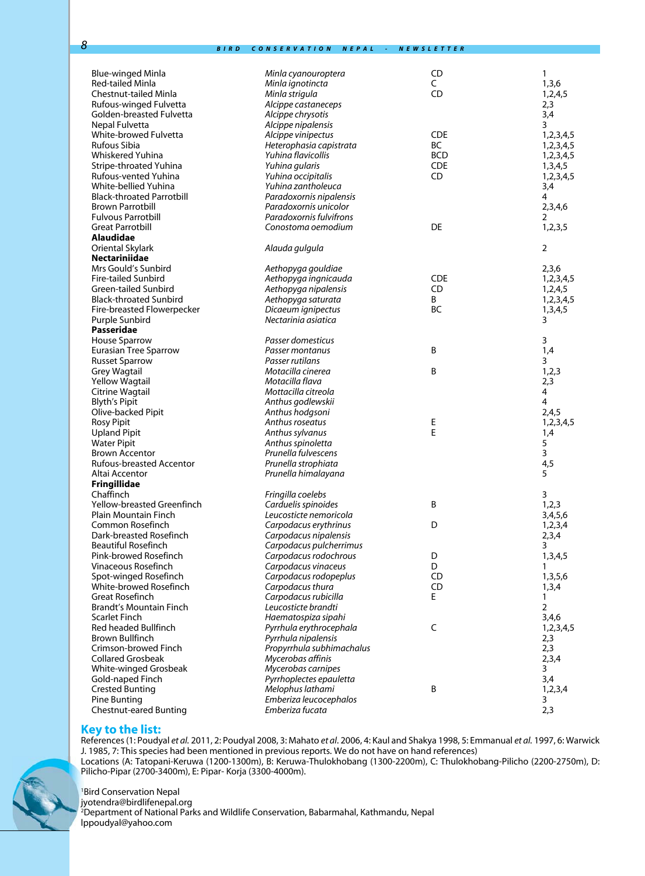| Blue-winged Minla                | Minla cyanouroptera       | CD         | 1              |
|----------------------------------|---------------------------|------------|----------------|
| <b>Red-tailed Minla</b>          | Minla ignotincta          | C          | 1,3,6          |
| Chestnut-tailed Minla            | Minla strigula            | CD         | 1,2,4,5        |
| Rufous-winged Fulvetta           | Alcippe castaneceps       |            | 2,3            |
| Golden-breasted Fulvetta         | Alcippe chrysotis         |            | 3,4            |
| Nepal Fulvetta                   | Alcippe nipalensis        |            | 3              |
| White-browed Fulvetta            | Alcippe vinipectus        | <b>CDE</b> | 1,2,3,4,5      |
| Rufous Sibia                     | Heterophasia capistrata   | BC         | 1,2,3,4,5      |
| Whiskered Yuhina                 | Yuhina flavicollis        | <b>BCD</b> | 1,2,3,4,5      |
| Stripe-throated Yuhina           | Yuhina gularis            | <b>CDE</b> | 1,3,4,5        |
| Rufous-vented Yuhina             | Yuhina occipitalis        | CD         | 1,2,3,4,5      |
| White-bellied Yuhina             | Yuhina zantholeuca        |            | 3,4            |
| <b>Black-throated Parrotbill</b> | Paradoxornis nipalensis   |            | 4              |
| <b>Brown Parrotbill</b>          | Paradoxornis unicolor     |            | 2,3,4,6        |
| <b>Fulvous Parrotbill</b>        | Paradoxornis fulvifrons   |            | 2              |
| Great Parrotbill                 | Conostoma oemodium        | DE         | 1,2,3,5        |
| Alaudidae                        |                           |            |                |
| Oriental Skylark                 | Alauda gulgula            |            | $\overline{2}$ |
| <b>Nectariniidae</b>             |                           |            |                |
| Mrs Gould's Sunbird              | Aethopyga gouldiae        |            | 2,3,6          |
| <b>Fire-tailed Sunbird</b>       | Aethopyga ingnicauda      | <b>CDE</b> | 1,2,3,4,5      |
| <b>Green-tailed Sunbird</b>      | Aethopyga nipalensis      | CD         | 1,2,4,5        |
| <b>Black-throated Sunbird</b>    | Aethopyga saturata        | B          | 1,2,3,4,5      |
| Fire-breasted Flowerpecker       | Dicaeum ignipectus        | <b>BC</b>  | 1,3,4,5        |
| Purple Sunbird                   | Nectarinia asiatica       |            | 3              |
| Passeridae                       |                           |            |                |
| <b>House Sparrow</b>             | Passer domesticus         |            | 3              |
| Eurasian Tree Sparrow            | Passer montanus           | B          | 1,4            |
| <b>Russet Sparrow</b>            | Passer rutilans           |            | 3              |
| <b>Grey Wagtail</b>              | Motacilla cinerea         | B          | 1,2,3          |
| <b>Yellow Wagtail</b>            | Motacilla flava           |            | 2,3            |
| Citrine Wagtail                  | Mottacilla citreola       |            | 4              |
| <b>Blyth's Pipit</b>             | Anthus godlewskii         |            | 4              |
| Olive-backed Pipit               | Anthus hodgsoni           |            | 2,4,5          |
| <b>Rosy Pipit</b>                | Anthus roseatus           | E          | 1,2,3,4,5      |
| <b>Upland Pipit</b>              | Anthus sylvanus           | E          | 1,4            |
| <b>Water Pipit</b>               | Anthus spinoletta         |            | 5              |
| <b>Brown Accentor</b>            | Prunella fulvescens       |            | 3              |
| <b>Rufous-breasted Accentor</b>  | Prunella strophiata       |            | 4,5            |
| Altai Accentor                   | Prunella himalayana       |            | 5              |
| <b>Fringillidae</b>              |                           |            |                |
| Chaffinch                        | Fringilla coelebs         |            | 3              |
| Yellow-breasted Greenfinch       | Carduelis spinoides       | B          | 1,2,3          |
| Plain Mountain Finch             | Leucosticte nemoricola    |            | 3,4,5,6        |
| Common Rosefinch                 | Carpodacus erythrinus     | D          | 1,2,3,4        |
| Dark-breasted Rosefinch          | Carpodacus nipalensis     |            | 2,3,4          |
| Beautiful Rosefinch              | Carpodacus pulcherrimus   |            | 3              |
| Pink-browed Rosefinch            | Carpodacus rodochrous     | D          | 1,3,4,5        |
| <b>Vinaceous Rosefinch</b>       | Carpodacus vinaceus       | D          | 1              |
| Spot-winged Rosefinch            | Carpodacus rodopeplus     | CD         | 1,3,5,6        |
| White-browed Rosefinch           | Carpodacus thura          | CD         | 1,3,4          |
| Great Rosefinch                  | Carpodacus rubicilla      | E.         | 1              |
| <b>Brandt's Mountain Finch</b>   | Leucosticte brandti       |            | 2              |
| Scarlet Finch                    | Haematospiza sipahi       |            | 3,4,6          |
| Red headed Bullfinch             | Pyrrhula erythrocephala   | C          | 1,2,3,4,5      |
| <b>Brown Bullfinch</b>           | Pyrrhula nipalensis       |            | 2,3            |
| Crimson-browed Finch             | Propyrrhula subhimachalus |            | 2,3            |
| <b>Collared Grosbeak</b>         | Mycerobas affinis         |            | 2,3,4          |
| White-winged Grosbeak            | Mycerobas carnipes        |            | 3              |
| Gold-naped Finch                 | Pyrrhoplectes epauletta   |            | 3,4            |
| <b>Crested Bunting</b>           | Melophus lathami          | B          | 1,2,3,4        |
| Pine Bunting                     | Emberiza leucocephalos    |            | 3              |
| <b>Chestnut-eared Bunting</b>    | Emberiza fucata           |            | 2,3            |
|                                  |                           |            |                |

#### **Key to the list:**

References (1: Poudyal *et al.* 2011, 2: Poudyal 2008, 3: Mahato *et al*. 2006, 4: Kaul and Shakya 1998, 5: Emmanual *et al.* 1997, 6: Warwick J. 1985, 7: This species had been mentioned in previous reports. We do not have on hand references) Locations (A: Tatopani-Keruwa (1200-1300m), B: Keruwa-Thulokhobang (1300-2200m), C: Thulokhobang-Pilicho (2200-2750m), D: Pilicho-Pipar (2700-3400m), E: Pipar- Korja (3300-4000m).

1 Bird Conservation Nepal

jyotendra@birdlifenepal.org

2 Department of National Parks and Wildlife Conservation, Babarmahal, Kathmandu, Nepal lppoudyal@yahoo.com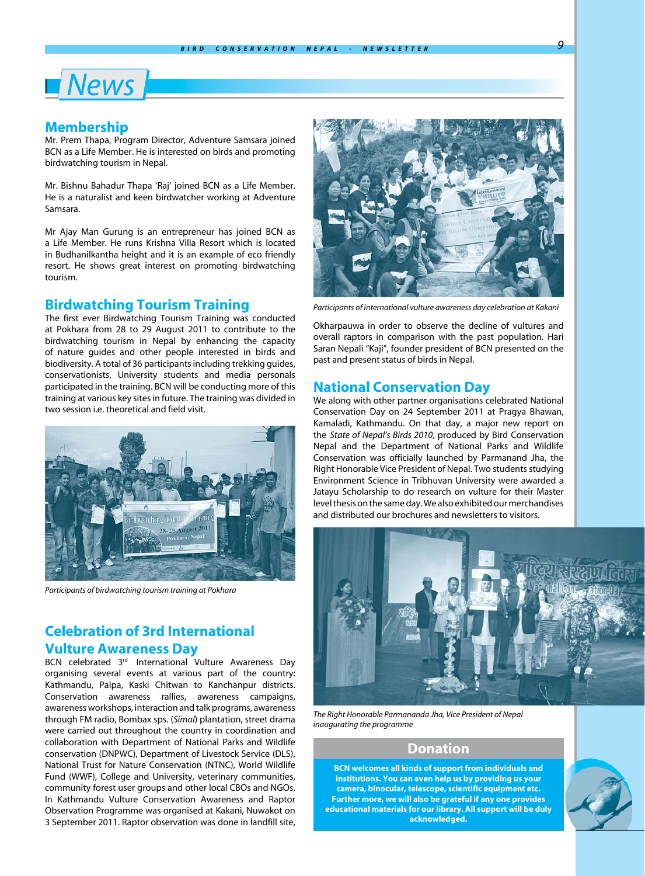# *News*

## **Membership**

Mr. Prem Thapa, Program Director, Adventure Samsara joined BCN as a Life Member. He is interested on birds and promoting birdwatching tourism in Nepal.

Mr. Bishnu Bahadur Thapa 'Raj' joined BCN as a Life Member. He is a naturalist and keen birdwatcher working at Adventure Samsara.

Mr Ajay Man Gurung is an entrepreneur has joined BCN as a Life Member. He runs Krishna Villa Resort which is located in Budhanilkantha height and it is an example of eco friendly resort. He shows great interest on promoting birdwatching tourism.

### **Birdwatching Tourism Training**

The first ever Birdwatching Tourism Training was conducted at Pokhara from 28 to 29 August 2011 to contribute to the birdwatching tourism in Nepal by enhancing the capacity of nature guides and other people interested in birds and biodiversity. A total of 36 participants including trekking guides, conservationists, University students and media personals participated in the training. BCN will be conducting more of this training at various key sites in future. The training was divided in two session i.e. theoretical and field visit.



*Participants of birdwatching tourism training at Pokhara*

# **Celebration of 3rd International Vulture Awareness Day**

BCN celebrated 3<sup>rd</sup> International Vulture Awareness Day organising several events at various part of the country: Kathmandu, Palpa, Kaski Chitwan to Kanchanpur districts. Conservation awareness rallies, awareness campaigns, awareness workshops, interaction and talk programs, awareness through FM radio, Bombax sps. (*Simal*) plantation, street drama were carried out throughout the country in coordination and collaboration with Department of National Parks and Wildlife conservation (DNPWC), Department of Livestock Service (DLS), National Trust for Nature Conservation (NTNC), World Wildlife Fund (WWF), College and University, veterinary communities, community forest user groups and other local CBOs and NGOs. In Kathmandu Vulture Conservation Awareness and Raptor Observation Programme was organised at Kakani, Nuwakot on 3 September 2011. Raptor observation was done in landfill site,



*Participants of international vulture awareness day celebration at Kakani*

Okharpauwa in order to observe the decline of vultures and overall raptors in comparison with the past population. Hari Saran Nepali "Kaji", founder president of BCN presented on the past and present status of birds in Nepal.

#### **National Conservation Day**

We along with other partner organisations celebrated National Conservation Day on 24 September 2011 at Pragya Bhawan, Kamaladi, Kathmandu. On that day, a major new report on the *State of Nepal's Birds 2010*, produced by Bird Conservation Nepal and the Department of National Parks and Wildlife Conservation was officially launched by Parmanand Jha, the Right Honorable Vice President of Nepal. Two students studying Environment Science in Tribhuvan University were awarded a Jatayu Scholarship to do research on vulture for their Master level thesis on the same day. We also exhibited our merchandises and distributed our brochures and newsletters to visitors.



*The Right Honorable Parmananda Jha, Vice President of Nepal inaugurating the programme*

## **Donation**

**BCN welcomes all kinds of support from individuals and institutions. You can even help us by providing us your camera, binocular, telescope, scientific equipment etc. Further more, we will also be grateful if any one provides educational materials for our library. All support will be duly acknowledged.**

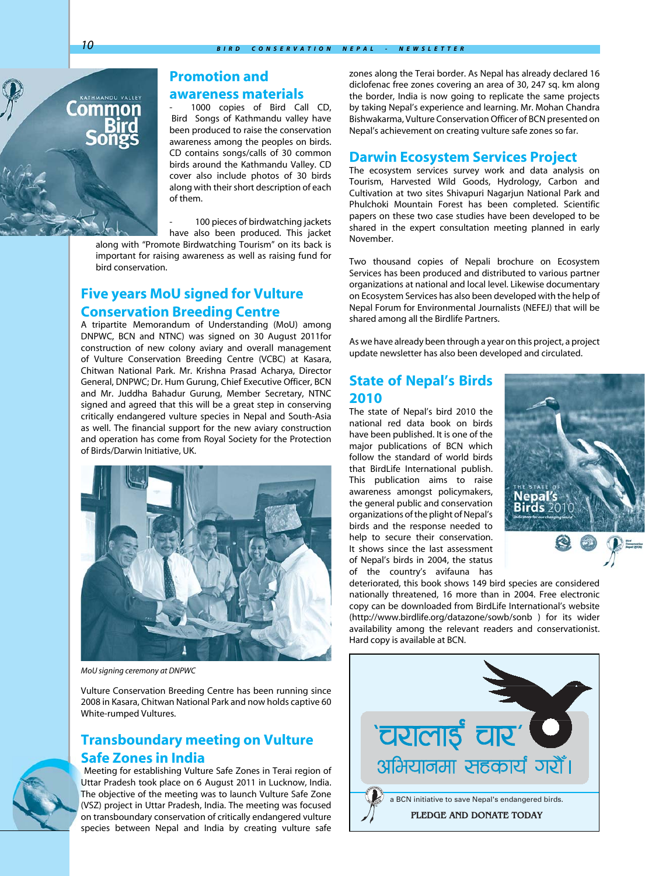# **Promotion and**

## **awareness materials**

1000 copies of Bird Call CD, Bird Songs of Kathmandu valley have been produced to raise the conservation awareness among the peoples on birds. CD contains songs/calls of 30 common birds around the Kathmandu Valley. CD cover also include photos of 30 birds along with their short description of each of them.

100 pieces of birdwatching jackets

have also been produced. This jacket along with "Promote Birdwatching Tourism" on its back is important for raising awareness as well as raising fund for bird conservation.

# **Five years MoU signed for Vulture Conservation Breeding Centre**

A tripartite Memorandum of Understanding (MoU) among DNPWC, BCN and NTNC) was signed on 30 August 2011for construction of new colony aviary and overall management of Vulture Conservation Breeding Centre (VCBC) at Kasara, Chitwan National Park. Mr. Krishna Prasad Acharya, Director General, DNPWC; Dr. Hum Gurung, Chief Executive Officer, BCN and Mr. Juddha Bahadur Gurung, Member Secretary, NTNC signed and agreed that this will be a great step in conserving critically endangered vulture species in Nepal and South-Asia as well. The financial support for the new aviary construction and operation has come from Royal Society for the Protection of Birds/Darwin Initiative, UK.



*MoU signing ceremony at DNPWC*

Vulture Conservation Breeding Centre has been running since 2008 in Kasara, Chitwan National Park and now holds captive 60 White-rumped Vultures.

# **Transboundary meeting on Vulture Safe Zones in India**

Meeting for establishing Vulture Safe Zones in Terai region of Uttar Pradesh took place on 6 August 2011 in Lucknow, India. The objective of the meeting was to launch Vulture Safe Zone (VSZ) project in Uttar Pradesh, India. The meeting was focused on transboundary conservation of critically endangered vulture species between Nepal and India by creating vulture safe zones along the Terai border. As Nepal has already declared 16 diclofenac free zones covering an area of 30, 247 sq. km along the border, India is now going to replicate the same projects by taking Nepal's experience and learning. Mr. Mohan Chandra Bishwakarma, Vulture Conservation Officer of BCN presented on Nepal's achievement on creating vulture safe zones so far.

### **Darwin Ecosystem Services Project**

The ecosystem services survey work and data analysis on Tourism, Harvested Wild Goods, Hydrology, Carbon and Cultivation at two sites Shivapuri Nagarjun National Park and Phulchoki Mountain Forest has been completed. Scientific papers on these two case studies have been developed to be shared in the expert consultation meeting planned in early November.

Two thousand copies of Nepali brochure on Ecosystem Services has been produced and distributed to various partner organizations at national and local level. Likewise documentary on Ecosystem Services has also been developed with the help of Nepal Forum for Environmental Journalists (NEFEJ) that will be shared among all the Birdlife Partners.

As we have already been through a year on this project, a project update newsletter has also been developed and circulated.

## **State of Nepal's Birds 2010**

The state of Nepal's bird 2010 the national red data book on birds have been published. It is one of the major publications of BCN which follow the standard of world birds that BirdLife International publish. This publication aims to raise awareness amongst policymakers, the general public and conservation organizations of the plight of Nepal's birds and the response needed to help to secure their conservation. It shows since the last assessment of Nepal's birds in 2004, the status of the country's avifauna has



deteriorated, this book shows 149 bird species are considered nationally threatened, 16 more than in 2004. Free electronic copy can be downloaded from BirdLife International's website (http://www.birdlife.org/datazone/sowb/sonb ) for its wider availability among the relevant readers and conservationist. Hard copy is available at BCN.



Lomn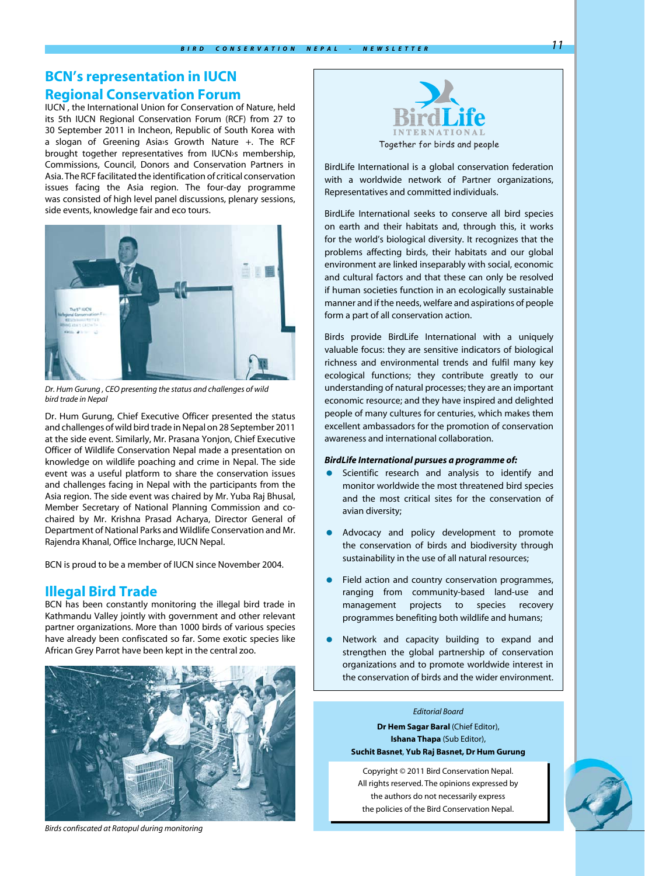# **BCN's representation in IUCN Regional Conservation Forum**

IUCN , the International Union for Conservation of Nature, held its 5th IUCN Regional Conservation Forum (RCF) from 27 to 30 September 2011 in Incheon, Republic of South Korea with a slogan of Greening Asia›s Growth Nature +. The RCF brought together representatives from IUCN›s membership, Commissions, Council, Donors and Conservation Partners in Asia. The RCF facilitated the identification of critical conservation issues facing the Asia region. The four-day programme was consisted of high level panel discussions, plenary sessions, side events, knowledge fair and eco tours.



*Dr. Hum Gurung , CEO presenting the status and challenges of wild bird trade in Nepal*

Dr. Hum Gurung, Chief Executive Officer presented the status and challenges of wild bird trade in Nepal on 28 September 2011 at the side event. Similarly, Mr. Prasana Yonjon, Chief Executive Officer of Wildlife Conservation Nepal made a presentation on knowledge on wildlife poaching and crime in Nepal. The side event was a useful platform to share the conservation issues and challenges facing in Nepal with the participants from the Asia region. The side event was chaired by Mr. Yuba Raj Bhusal, Member Secretary of National Planning Commission and cochaired by Mr. Krishna Prasad Acharya, Director General of Department of National Parks and Wildlife Conservation and Mr. Rajendra Khanal, Office Incharge, IUCN Nepal.

BCN is proud to be a member of IUCN since November 2004.

## **Illegal Bird Trade**

BCN has been constantly monitoring the illegal bird trade in Kathmandu Valley jointly with government and other relevant partner organizations. More than 1000 birds of various species have already been confiscated so far. Some exotic species like African Grey Parrot have been kept in the central zoo.



*Birds confiscated at Ratopul during monitoring*



BirdLife International is a global conservation federation with a worldwide network of Partner organizations, Representatives and committed individuals.

BirdLife International seeks to conserve all bird species on earth and their habitats and, through this, it works for the world's biological diversity. It recognizes that the problems affecting birds, their habitats and our global environment are linked inseparably with social, economic and cultural factors and that these can only be resolved if human societies function in an ecologically sustainable manner and if the needs, welfare and aspirations of people form a part of all conservation action.

Birds provide BirdLife International with a uniquely valuable focus: they are sensitive indicators of biological richness and environmental trends and fulfil many key ecological functions; they contribute greatly to our understanding of natural processes; they are an important economic resource; and they have inspired and delighted people of many cultures for centuries, which makes them excellent ambassadors for the promotion of conservation awareness and international collaboration.

#### *BirdLife International pursues a programme of:*

- Scientific research and analysis to identify and monitor worldwide the most threatened bird species and the most critical sites for the conservation of avian diversity;
- Advocacy and policy development to promote the conservation of birds and biodiversity through sustainability in the use of all natural resources;
- **•** Field action and country conservation programmes, ranging from community-based land-use and management projects to species recovery programmes benefiting both wildlife and humans;
- Network and capacity building to expand and strengthen the global partnership of conservation organizations and to promote worldwide interest in the conservation of birds and the wider environment.

#### *Editorial Board*

**Dr Hem Sagar Baral (Chief Editor), Ishana Thapa** (Sub Editor), **Suchit Basnet**, **Yub Raj Basnet, Dr Hum Gurung**

Copyright © 2011 Bird Conservation Nepal. All rights reserved. The opinions expressed by the authors do not necessarily express the policies of the Bird Conservation Nepal.